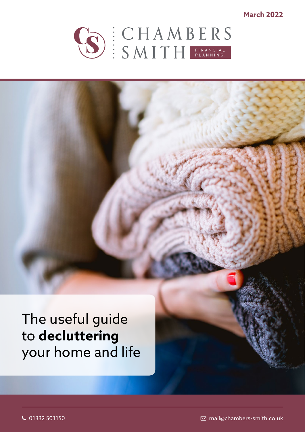**March 2022**



The useful guide to **decluttering** your home and life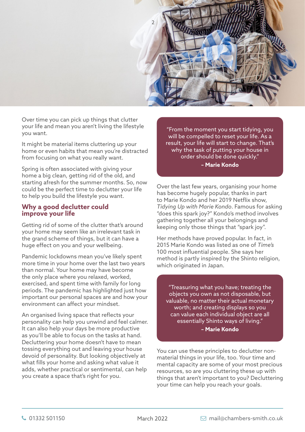

Over time you can pick up things that clutter your life and mean you aren't living the lifestyle you want.

It might be material items cluttering up your home or even habits that mean you're distracted from focusing on what you really want.

Spring is often associated with giving your home a big clean, getting rid of the old, and starting afresh for the summer months. So, now could be the perfect time to declutter your life to help you build the lifestyle you want.

### **Why a good declutter could improve your life**

Getting rid of some of the clutter that's around your home may seem like an irrelevant task in the grand scheme of things, but it can have a huge effect on you and your wellbeing.

Pandemic lockdowns mean you've likely spent more time in your home over the last two years than normal. Your home may have become the only place where you relaxed, worked, exercised, and spent time with family for long periods. The pandemic has highlighted just how important our personal spaces are and how your environment can affect your mindset.

An organised living space that reflects your personality can help you unwind and feel calmer. It can also help your days be more productive as you'll be able to focus on the tasks at hand. Decluttering your home doesn't have to mean tossing everything out and leaving your house devoid of personality. But looking objectively at what fills your home and asking what value it adds, whether practical or sentimental, can help you create a space that's right for you.

"From the moment you start tidying, you will be compelled to reset your life. As a result, your life will start to change. That's why the task of putting your house in order should be done quickly." **– Marie Kondo**

Over the last few years, organising your home has become hugely popular, thanks in part to Marie Kondo and her 2019 Netflix show, *Tidying Up with Marie Kondo*. Famous for asking "does this spark joy?" Kondo's method involves gathering together all your belongings and keeping only those things that "spark joy".

Her methods have proved popular. In fact, in 2015 Marie Kondo was listed as one of *Time's* 100 most influential people. She says her method is partly inspired by the Shinto religion, which originated in Japan.

"Treasuring what you have; treating the objects you own as not disposable, but valuable, no matter their actual monetary worth; and creating displays so you can value each individual object are all essentially Shinto ways of living." **– Marie Kondo**

You can use these principles to declutter nonmaterial things in your life, too. Your time and mental capacity are some of your most precious resources, so are you cluttering these up with things that aren't important to you? Decluttering your time can help you reach your goals.

March 2022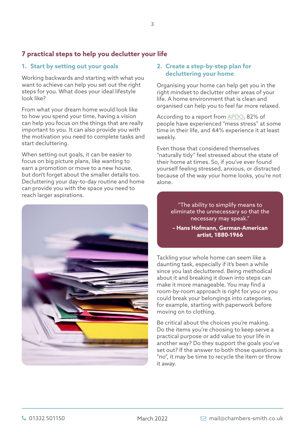# **7 practical steps to help you declutter your life**

# **1. Start by setting out your goals**

Working backwards and starting with what you want to achieve can help you set out the right steps for you. What does your ideal lifestyle look like?

From what your dream home would look like to how you spend your time, having a vision can help you focus on the things that are really important to you. It can also provide you with the motivation you need to complete tasks and start decluttering.

When setting out goals, it can be easier to focus on big picture plans, like wanting to earn a promotion or move to a new house, but don't forget about the smaller details too. Decluttering your day-to-day routine and home can provide you with the space you need to reach larger aspirations.



# **2. Create a step-by-step plan for decluttering your home**

Organising your home can help get you in the right mindset to declutter other areas of your life. A home environment that is clean and organised can help you to feel far more relaxed.

According to a report from [APDO,](https://www.apdo.co.uk/blog-messy-home-stressy-home-research/) 82% of people have experienced "mess stress" at some time in their life, and 44% experience it at least weekly.

Even those that considered themselves "naturally tidy" feel stressed about the state of their home at times. So, if you've ever found yourself feeling stressed, anxious, or distracted because of the way your home looks, you're not alone.

> "The ability to simplify means to eliminate the unnecessary so that the necessary may speak."

**– Hans Hofmann, German-American artist, 1880-1966** 

Tackling your whole home can seem like a daunting task, especially if it's been a while since you last decluttered. Being methodical about it and breaking it down into steps can make it more manageable. You may find a room-by-room approach is right for you or you could break your belongings into categories, for example, starting with paperwork before moving on to clothing.

Be critical about the choices you're making. Do the items you're choosing to keep serve a practical purpose or add value to your life in another way? Do they support the goals you've set out? If the answer to both those questions is "no", it may be time to recycle the item or throw it away.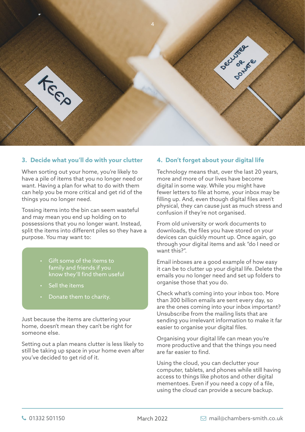

# **3. Decide what you'll do with your clutter**

When sorting out your home, you're likely to have a pile of items that you no longer need or want. Having a plan for what to do with them can help you be more critical and get rid of the things you no longer need.

Tossing items into the bin can seem wasteful and may mean you end up holding on to possessions that you no longer want. Instead, split the items into different piles so they have a purpose. You may want to:

- Gift some of the items to family and friends if you know they'll find them useful
- Sell the items
- Donate them to charity.

Just because the items are cluttering your home, doesn't mean they can't be right for someone else.

Setting out a plan means clutter is less likely to still be taking up space in your home even after you've decided to get rid of it.

# **4. Don't forget about your digital life**

Technology means that, over the last 20 years, more and more of our lives have become digital in some way. While you might have fewer letters to file at home, your inbox may be filling up. And, even though digital files aren't physical, they can cause just as much stress and confusion if they're not organised.

From old university or work documents to downloads, the files you have stored on your devices can quickly mount up. Once again, go through your digital items and ask "do I need or want this?".

Email inboxes are a good example of how easy it can be to clutter up your digital life. Delete the emails you no longer need and set up folders to organise those that you do.

Check what's coming into your inbox too. More than 300 billion emails are sent every day, so are the ones coming into your inbox important? Unsubscribe from the mailing lists that are sending you irrelevant information to make it far easier to organise your digital files.

Organising your digital life can mean you're more productive and that the things you need are far easier to find.

Using the cloud, you can declutter your computer, tablets, and phones while still having access to things like photos and other digital mementoes. Even if you need a copy of a file, using the cloud can provide a secure backup.

March 2022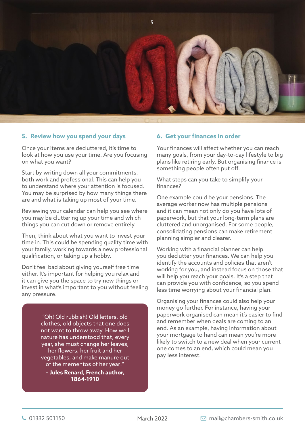

#### **5. Review how you spend your days**

Once your items are decluttered, it's time to look at how you use your time. Are you focusing on what you want?

Start by writing down all your commitments, both work and professional. This can help you to understand where your attention is focused. You may be surprised by how many things there are and what is taking up most of your time.

Reviewing your calendar can help you see where you may be cluttering up your time and which things you can cut down or remove entirely.

Then, think about what you want to invest your time in. This could be spending quality time with your family, working towards a new professional qualification, or taking up a hobby.

Don't feel bad about giving yourself free time either. It's important for helping you relax and it can give you the space to try new things or invest in what's important to you without feeling any pressure.

> "Oh! Old rubbish! Old letters, old clothes, old objects that one does not want to throw away. How well nature has understood that, every year, she must change her leaves, her flowers, her fruit and her vegetables, and make manure out of the mementos of her year!"

**– Jules Renard, French author, 1864-1910** 

#### **6. Get your finances in order**

Your finances will affect whether you can reach many goals, from your day-to-day lifestyle to big plans like retiring early. But organising finance is something people often put off.

What steps can you take to simplify your finances?

One example could be your pensions. The average worker now has multiple pensions and it can mean not only do you have lots of paperwork, but that your long-term plans are cluttered and unorganised. For some people, consolidating pensions can make retirement planning simpler and clearer.

Working with a financial planner can help you declutter your finances. We can help you identify the accounts and policies that aren't working for you, and instead focus on those that will help you reach your goals. It's a step that can provide you with confidence, so you spend less time worrying about your financial plan.

Organising your finances could also help your money go further. For instance, having your paperwork organised can mean it's easier to find and remember when deals are coming to an end. As an example, having information about your mortgage to hand can mean you're more likely to switch to a new deal when your current one comes to an end, which could mean you pay less interest.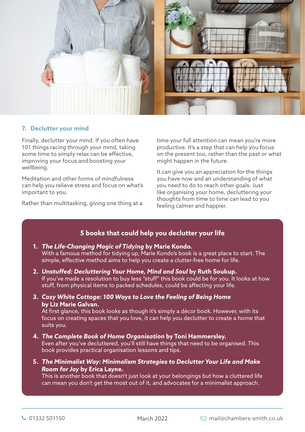

# **7. Declutter your mind**

Finally, declutter your mind. If you often have 101 things racing through your mind, taking some time to simply relax can be effective, improving your focus and boosting your wellbeing.

Meditation and other forms of mindfulness can help you relieve stress and focus on what's important to you.

Rather than multitasking, giving one thing at a

time your full attention can mean you're more productive. It's a step that can help you focus on the present too, rather than the past or what might happen in the future.

It can give you an appreciation for the things you have now and an understanding of what you need to do to reach other goals. Just like organising your home, decluttering your thoughts from time to time can lead to you feeling calmer and happier.

# **5 books that could help you declutter your life**

# **1.** *The Life-Changing Magic of Tidying* **by Marie Kondo.**  With a famous method for tidying up, Marie Kondo's book is a great place to start. The simple, effective method aims to help you create a clutter-free home for life.

- **2.** *Unstuffed: Decluttering Your Home, Mind and Soul* **by Ruth Soukup.**  If you've made a resolution to buy less "stuff" this book could be for you. It looks at how stuff, from physical items to packed schedules, could be affecting your life.
- **3.** *Cozy White Cottage: 100 Ways to Love the Feeling of Being Home* **by Liz Marie Galvan.**

At first glance, this book looks as though it's simply a décor book. However, with its focus on creating spaces that you love, it can help you declutter to create a home that suits you.

- **4.** *The Complete Book of Home Organisation* **by Toni Hammersley.**  Even after you've decluttered, you'll still have things that need to be organised. This book provides practical organisation lessons and tips.
- **5.** *The Minimalist Way: Minimalism Strategies to Declutter Your Life and Make Room for Joy* **by Erica Layne.**

This is another book that doesn't just look at your belongings but how a cluttered life can mean you don't get the most out of it, and advocates for a minimalist approach.